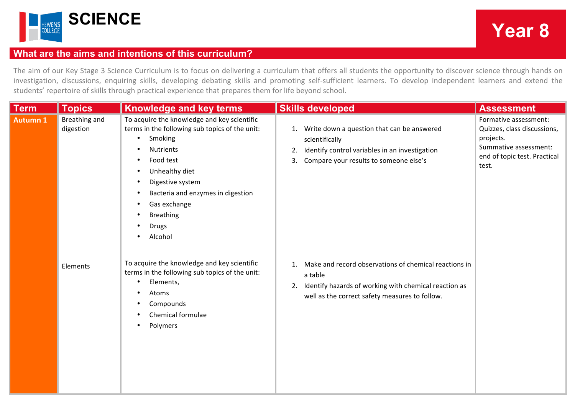

## **What are the aims and intentions of this curriculum?**

The aim of our Key Stage 3 Science Curriculum is to focus on delivering a curriculum that offers all students the opportunity to discover science through hands on investigation, discussions, enquiring skills, developing debating skills and promoting self-sufficient learners. To develop independent learners and extend the students' repertoire of skills through practical experience that prepares them for life beyond school.

| <b>Term</b>     | <b>Topics</b>              | <b>Knowledge and key terms</b>                                                                                                                                                                                                                                                                                                                                                                           | <b>Skills developed</b>                                                                                                                                                           | <b>Assessment</b>                                                                                                                   |
|-----------------|----------------------------|----------------------------------------------------------------------------------------------------------------------------------------------------------------------------------------------------------------------------------------------------------------------------------------------------------------------------------------------------------------------------------------------------------|-----------------------------------------------------------------------------------------------------------------------------------------------------------------------------------|-------------------------------------------------------------------------------------------------------------------------------------|
| <b>Autumn 1</b> | Breathing and<br>digestion | To acquire the knowledge and key scientific<br>terms in the following sub topics of the unit:<br>Smoking<br>$\bullet$<br><b>Nutrients</b><br>$\bullet$<br>Food test<br>$\bullet$<br>Unhealthy diet<br>$\bullet$<br>Digestive system<br>$\bullet$<br>Bacteria and enzymes in digestion<br>$\bullet$<br>Gas exchange<br>$\bullet$<br><b>Breathing</b><br><b>Drugs</b><br>$\bullet$<br>Alcohol<br>$\bullet$ | Write down a question that can be answered<br>1.<br>scientifically<br>Identify control variables in an investigation<br>2.<br>3. Compare your results to someone else's           | Formative assessment:<br>Quizzes, class discussions,<br>projects.<br>Summative assessment:<br>end of topic test. Practical<br>test. |
|                 | Elements                   | To acquire the knowledge and key scientific<br>terms in the following sub topics of the unit:<br>Elements,<br>$\bullet$<br>Atoms<br>Compounds<br>$\bullet$<br>Chemical formulae<br>$\bullet$<br>Polymers<br>$\bullet$                                                                                                                                                                                    | Make and record observations of chemical reactions in<br>a table<br>Identify hazards of working with chemical reaction as<br>2.<br>well as the correct safety measures to follow. |                                                                                                                                     |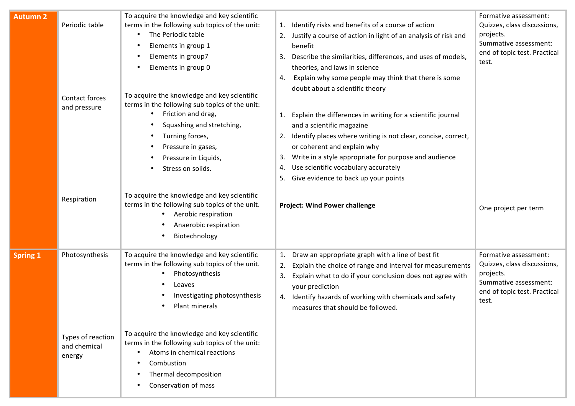| <b>Autumn 2</b> | Periodic table<br>Contact forces<br>and pressure              | To acquire the knowledge and key scientific<br>terms in the following sub topics of the unit:<br>The Periodic table<br>Elements in group 1<br>Elements in group7<br>Elements in group 0<br>To acquire the knowledge and key scientific<br>terms in the following sub topics of the unit:<br>Friction and drag,<br>٠<br>Squashing and stretching,<br>Turning forces,<br>$\bullet$<br>Pressure in gases,<br>Pressure in Liquids,<br>Stress on solids. | Identify risks and benefits of a course of action<br>1.<br>2. Justify a course of action in light of an analysis of risk and<br>benefit<br>3. Describe the similarities, differences, and uses of models,<br>theories, and laws in science<br>Explain why some people may think that there is some<br>4.<br>doubt about a scientific theory<br>1. Explain the differences in writing for a scientific journal<br>and a scientific magazine<br>2. Identify places where writing is not clear, concise, correct,<br>or coherent and explain why<br>Write in a style appropriate for purpose and audience<br>3.<br>Use scientific vocabulary accurately<br>4.<br>Give evidence to back up your points<br>5. | Formative assessment:<br>Quizzes, class discussions,<br>projects.<br>Summative assessment:<br>end of topic test. Practical<br>test. |
|-----------------|---------------------------------------------------------------|-----------------------------------------------------------------------------------------------------------------------------------------------------------------------------------------------------------------------------------------------------------------------------------------------------------------------------------------------------------------------------------------------------------------------------------------------------|----------------------------------------------------------------------------------------------------------------------------------------------------------------------------------------------------------------------------------------------------------------------------------------------------------------------------------------------------------------------------------------------------------------------------------------------------------------------------------------------------------------------------------------------------------------------------------------------------------------------------------------------------------------------------------------------------------|-------------------------------------------------------------------------------------------------------------------------------------|
|                 | Respiration                                                   | To acquire the knowledge and key scientific<br>terms in the following sub topics of the unit.<br>Aerobic respiration<br>$\bullet$<br>Anaerobic respiration<br>Biotechnology                                                                                                                                                                                                                                                                         | <b>Project: Wind Power challenge</b>                                                                                                                                                                                                                                                                                                                                                                                                                                                                                                                                                                                                                                                                     | One project per term                                                                                                                |
| <b>Spring 1</b> | Photosynthesis<br>Types of reaction<br>and chemical<br>energy | To acquire the knowledge and key scientific<br>terms in the following sub topics of the unit.<br>Photosynthesis<br>Leaves<br>Investigating photosynthesis<br>Plant minerals<br>To acquire the knowledge and key scientific<br>terms in the following sub topics of the unit:<br>Atoms in chemical reactions<br>Combustion<br>Thermal decomposition<br>Conservation of mass                                                                          | Draw an appropriate graph with a line of best fit<br>1.<br>Explain the choice of range and interval for measurements<br>2.<br>Explain what to do if your conclusion does not agree with<br>3.<br>your prediction<br>4. Identify hazards of working with chemicals and safety<br>measures that should be followed.                                                                                                                                                                                                                                                                                                                                                                                        | Formative assessment:<br>Quizzes, class discussions,<br>projects.<br>Summative assessment:<br>end of topic test. Practical<br>test. |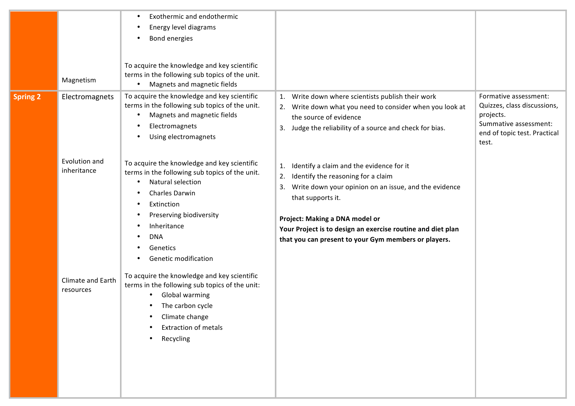|                 | Magnetism                                                                        | Exothermic and endothermic<br>$\bullet$<br>Energy level diagrams<br>$\bullet$<br>Bond energies<br>$\bullet$<br>To acquire the knowledge and key scientific<br>terms in the following sub topics of the unit.<br>Magnets and magnetic fields<br>$\bullet$                                                                                                                                                                                                                                                                                                                                                                                                                                  |                                                                                                                                                                                                                                                                                                                                                                                                                                                                                                                                                      |                                                                                                                                     |
|-----------------|----------------------------------------------------------------------------------|-------------------------------------------------------------------------------------------------------------------------------------------------------------------------------------------------------------------------------------------------------------------------------------------------------------------------------------------------------------------------------------------------------------------------------------------------------------------------------------------------------------------------------------------------------------------------------------------------------------------------------------------------------------------------------------------|------------------------------------------------------------------------------------------------------------------------------------------------------------------------------------------------------------------------------------------------------------------------------------------------------------------------------------------------------------------------------------------------------------------------------------------------------------------------------------------------------------------------------------------------------|-------------------------------------------------------------------------------------------------------------------------------------|
| <b>Spring 2</b> | Electromagnets<br>Evolution and<br>inheritance<br>Climate and Earth<br>resources | To acquire the knowledge and key scientific<br>terms in the following sub topics of the unit.<br>Magnets and magnetic fields<br>$\bullet$<br>Electromagnets<br>$\bullet$<br>Using electromagnets<br>$\bullet$<br>To acquire the knowledge and key scientific<br>terms in the following sub topics of the unit.<br>Natural selection<br>$\bullet$<br>Charles Darwin<br>$\bullet$<br>Extinction<br>$\bullet$<br>Preserving biodiversity<br>$\bullet$<br>Inheritance<br><b>DNA</b><br>Genetics<br>Genetic modification<br>To acquire the knowledge and key scientific<br>terms in the following sub topics of the unit:<br>Global warming<br>$\bullet$<br>The carbon cycle<br>Climate change | 1. Write down where scientists publish their work<br>Write down what you need to consider when you look at<br>2.<br>the source of evidence<br>Judge the reliability of a source and check for bias.<br>3.<br>Identify a claim and the evidence for it<br>1.<br>Identify the reasoning for a claim<br>2.<br>Write down your opinion on an issue, and the evidence<br>3.<br>that supports it.<br>Project: Making a DNA model or<br>Your Project is to design an exercise routine and diet plan<br>that you can present to your Gym members or players. | Formative assessment:<br>Quizzes, class discussions,<br>projects.<br>Summative assessment:<br>end of topic test. Practical<br>test. |
|                 |                                                                                  | <b>Extraction of metals</b><br>Recycling                                                                                                                                                                                                                                                                                                                                                                                                                                                                                                                                                                                                                                                  |                                                                                                                                                                                                                                                                                                                                                                                                                                                                                                                                                      |                                                                                                                                     |